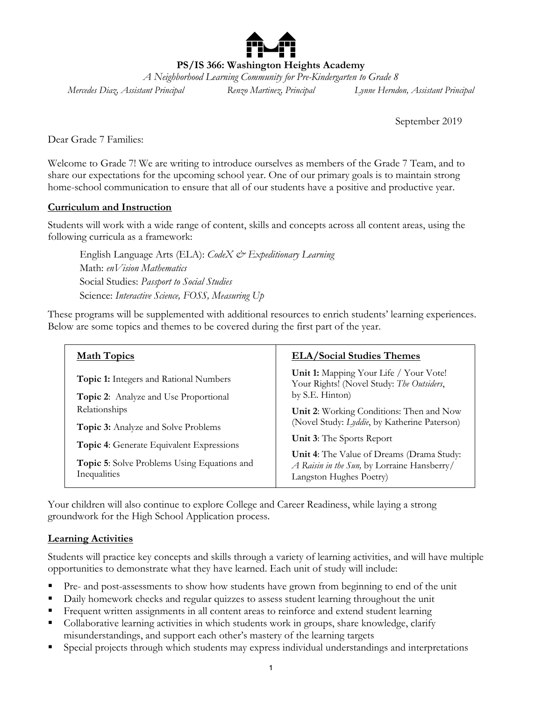

**PS/IS 366: Washington Heights Academy**

*A Neighborhood Learning Community for Pre-Kindergarten to Grade 8*

*Mercedes Diaz, Assistant Principal Renzo Martinez, Principal Lynne Herndon, Assistant Principal*

September 2019

Dear Grade 7 Families:

Welcome to Grade 7! We are writing to introduce ourselves as members of the Grade 7 Team, and to share our expectations for the upcoming school year. One of our primary goals is to maintain strong home-school communication to ensure that all of our students have a positive and productive year.

#### **Curriculum and Instruction**

Students will work with a wide range of content, skills and concepts across all content areas, using the following curricula as a framework:

English Language Arts (ELA): *CodeX & Expeditionary Learning* Math: *enVision Mathematics* Social Studies: *Passport to Social Studies* Science: *Interactive Science, FOSS, Measuring Up*

These programs will be supplemented with additional resources to enrich students' learning experiences. Below are some topics and themes to be covered during the first part of the year.

| <b>Math Topics</b>                                                                                                                                                                   | <b>ELA/Social Studies Themes</b>                                                                                                                                                                                                                    |
|--------------------------------------------------------------------------------------------------------------------------------------------------------------------------------------|-----------------------------------------------------------------------------------------------------------------------------------------------------------------------------------------------------------------------------------------------------|
| <b>Topic 1:</b> Integers and Rational Numbers<br><b>Topic 2:</b> Analyze and Use Proportional                                                                                        | Unit 1: Mapping Your Life / Your Vote!<br>Your Rights! (Novel Study: The Outsiders,<br>by S.E. Hinton)                                                                                                                                              |
| Relationships<br><b>Topic 3:</b> Analyze and Solve Problems<br><b>Topic 4:</b> Generate Equivalent Expressions<br><b>Topic 5:</b> Solve Problems Using Equations and<br>Inequalities | Unit 2: Working Conditions: Then and Now<br>(Novel Study: Lyddie, by Katherine Paterson)<br><b>Unit 3:</b> The Sports Report<br>Unit 4: The Value of Dreams (Drama Study:<br>A Raisin in the Sun, by Lorraine Hansberry/<br>Langston Hughes Poetry) |

Your children will also continue to explore College and Career Readiness, while laying a strong groundwork for the High School Application process.

#### **Learning Activities**

Students will practice key concepts and skills through a variety of learning activities, and will have multiple opportunities to demonstrate what they have learned. Each unit of study will include:

- Pre- and post-assessments to show how students have grown from beginning to end of the unit
- Daily homework checks and regular quizzes to assess student learning throughout the unit
- Frequent written assignments in all content areas to reinforce and extend student learning
- Collaborative learning activities in which students work in groups, share knowledge, clarify misunderstandings, and support each other's mastery of the learning targets
- Special projects through which students may express individual understandings and interpretations